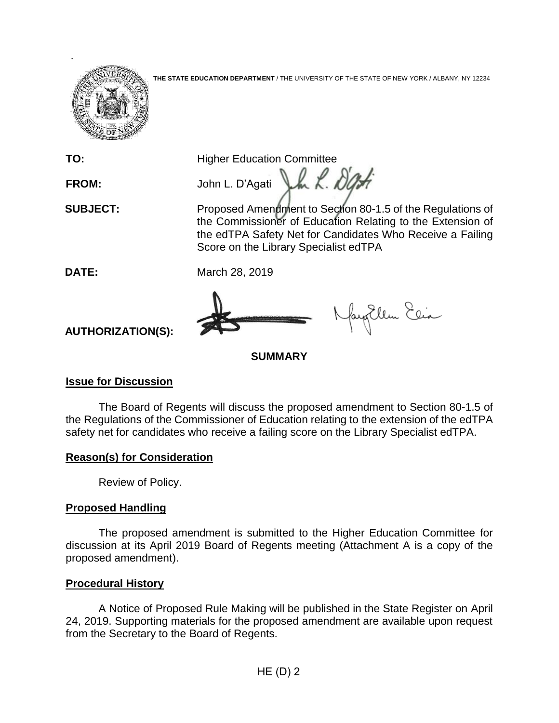**THE STATE EDUCATION DEPARTMENT** / THE UNIVERSITY OF THE STATE OF NEW YORK / ALBANY, NY 12234

.

**TO:** Higher Education Committee

FROM: John L. D'Agati John *L. D'Agati* 

**SUBJECT:** Proposed Amendment to Section 80-1.5 of the Regulations of the Commissioner of Education Relating to the Extension of the edTPA Safety Net for Candidates Who Receive a Failing Score on the Library Specialist edTPA

**DATE:** March 28, 2019

fayEllen Elia

# **AUTHORIZATION(S):**

**SUMMARY**

## **Issue for Discussion**

The Board of Regents will discuss the proposed amendment to Section 80-1.5 of the Regulations of the Commissioner of Education relating to the extension of the edTPA safety net for candidates who receive a failing score on the Library Specialist edTPA.

### **Reason(s) for Consideration**

Review of Policy.

## **Proposed Handling**

The proposed amendment is submitted to the Higher Education Committee for discussion at its April 2019 Board of Regents meeting (Attachment A is a copy of the proposed amendment).

## **Procedural History**

A Notice of Proposed Rule Making will be published in the State Register on April 24, 2019. Supporting materials for the proposed amendment are available upon request from the Secretary to the Board of Regents.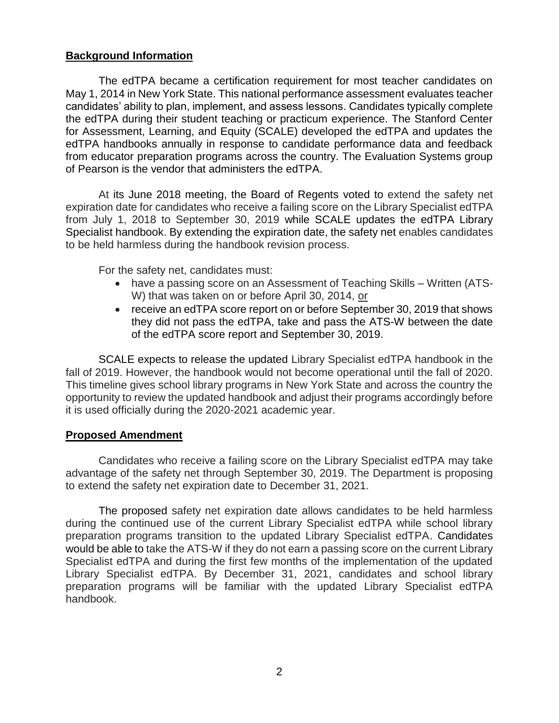#### **Background Information**

The edTPA became a certification requirement for most teacher candidates on May 1, 2014 in New York State. This national performance assessment evaluates teacher candidates' ability to plan, implement, and assess lessons. Candidates typically complete the edTPA during their student teaching or practicum experience. The Stanford Center for Assessment, Learning, and Equity (SCALE) developed the edTPA and updates the edTPA handbooks annually in response to candidate performance data and feedback from educator preparation programs across the country. The Evaluation Systems group of Pearson is the vendor that administers the edTPA.

At its June 2018 meeting, the Board of Regents voted to extend the safety net expiration date for candidates who receive a failing score on the Library Specialist edTPA from July 1, 2018 to September 30, 2019 while SCALE updates the edTPA Library Specialist handbook. By extending the expiration date, the safety net enables candidates to be held harmless during the handbook revision process.

For the safety net, candidates must:

- have a passing score on an Assessment of Teaching Skills Written (ATS-W) that was taken on or before April 30, 2014, or
- receive an edTPA score report on or before September 30, 2019 that shows they did not pass the edTPA, take and pass the ATS-W between the date of the edTPA score report and September 30, 2019.

SCALE expects to release the updated Library Specialist edTPA handbook in the fall of 2019. However, the handbook would not become operational until the fall of 2020. This timeline gives school library programs in New York State and across the country the opportunity to review the updated handbook and adjust their programs accordingly before it is used officially during the 2020-2021 academic year.

#### **Proposed Amendment**

Candidates who receive a failing score on the Library Specialist edTPA may take advantage of the safety net through September 30, 2019. The Department is proposing to extend the safety net expiration date to December 31, 2021.

The proposed safety net expiration date allows candidates to be held harmless during the continued use of the current Library Specialist edTPA while school library preparation programs transition to the updated Library Specialist edTPA. Candidates would be able to take the ATS-W if they do not earn a passing score on the current Library Specialist edTPA and during the first few months of the implementation of the updated Library Specialist edTPA. By December 31, 2021, candidates and school library preparation programs will be familiar with the updated Library Specialist edTPA handbook.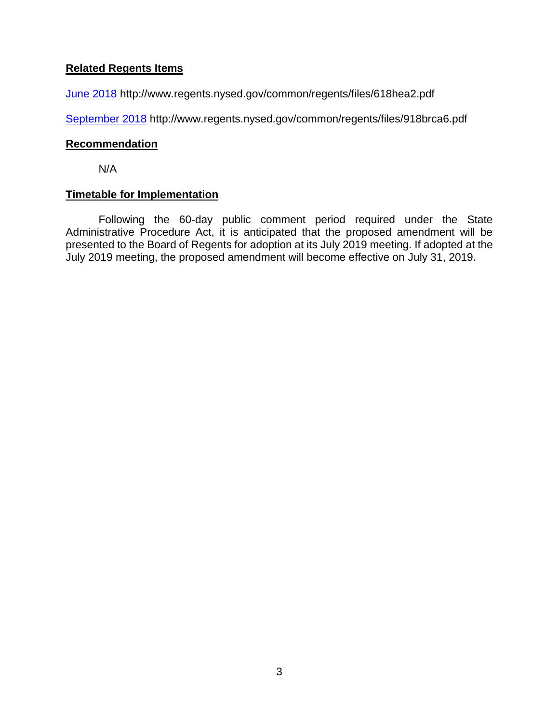### **Related Regents Items**

[June 2018](http://www.regents.nysed.gov/common/regents/files/618hea2.pdf) http://www.regents.nysed.gov/common/regents/files/618hea2.pdf

[September 2018](http://www.regents.nysed.gov/common/regents/files/918brca6.pdf) http://www.regents.nysed.gov/common/regents/files/918brca6.pdf

#### **Recommendation**

N/A

### **Timetable for Implementation**

Following the 60-day public comment period required under the State Administrative Procedure Act, it is anticipated that the proposed amendment will be presented to the Board of Regents for adoption at its July 2019 meeting. If adopted at the July 2019 meeting, the proposed amendment will become effective on July 31, 2019.